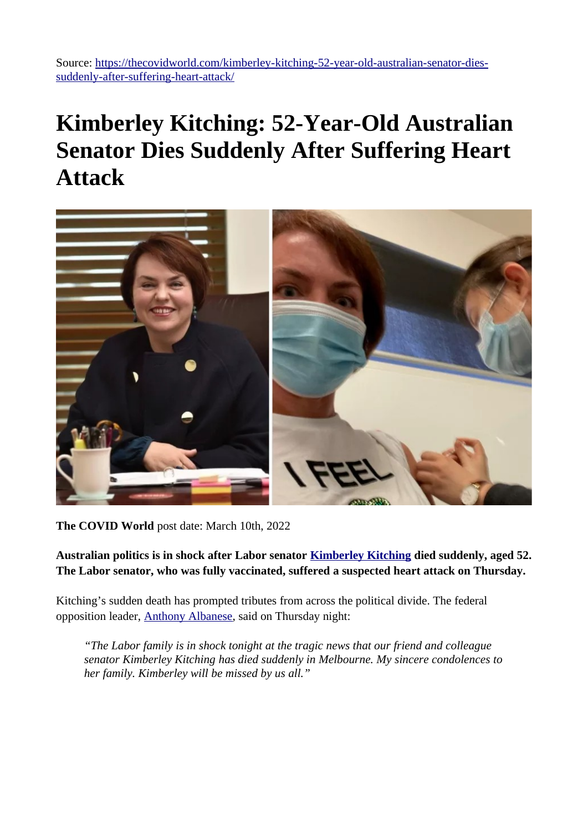Source: [https://thecovidworld.com/kimberley-kitching-52-year-old-australian-senator-dies](https://thecovidworld.com/kimberley-kitching-52-year-old-australian-senator-dies-suddenly-after-suffering-heart-attack/)[suddenly-after-suffering-heart-attack/](https://thecovidworld.com/kimberley-kitching-52-year-old-australian-senator-dies-suddenly-after-suffering-heart-attack/)

## **Kimberley Kitching: 52-Year-Old Australian Senator Dies Suddenly After Suffering Heart Attack**



**The COVID World** post date: March 10th, 2022

**Australian politics is in shock after Labor senator [Kimberley Kitching](https://en.wikipedia.org/wiki/Kimberley_Kitching) died suddenly, aged 52. The Labor senator, who was fully vaccinated, suffered a suspected heart attack on Thursday.**

Kitching's sudden death has prompted tributes from across the political divide. The federal opposition leader, [Anthony Albanese](https://en.wikipedia.org/wiki/Anthony_Albanese), said on Thursday night:

*"The Labor family is in shock tonight at the tragic news that our friend and colleague senator Kimberley Kitching has died suddenly in Melbourne. My sincere condolences to her family. Kimberley will be missed by us all."*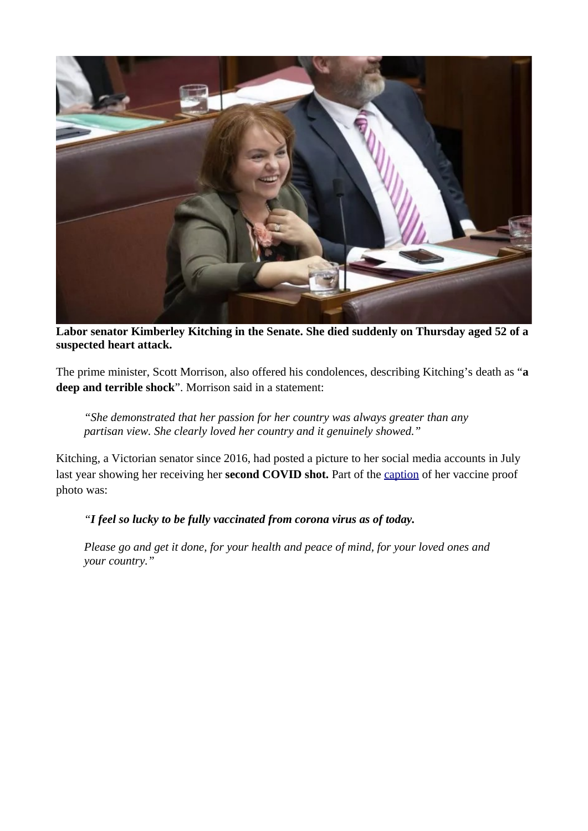

**Labor senator Kimberley Kitching in the Senate. She died suddenly on Thursday aged 52 of a suspected heart attack.**

The prime minister, Scott Morrison, also offered his condolences, describing Kitching's death as "**a deep and terrible shock**". Morrison said in a statement:

*"She demonstrated that her passion for her country was always greater than any partisan view. She clearly loved her country and it genuinely showed."*

Kitching, a Victorian senator since 2016, had posted a picture to her social media accounts in July last year showing her receiving her **second COVID shot.** Part of the [caption](https://twitter.com/kimbakit/status/1420658286483808256) of her vaccine proof photo was:

*"I feel so lucky to be fully vaccinated from corona virus as of today.*

*Please go and get it done, for your health and peace of mind, for your loved ones and your country."*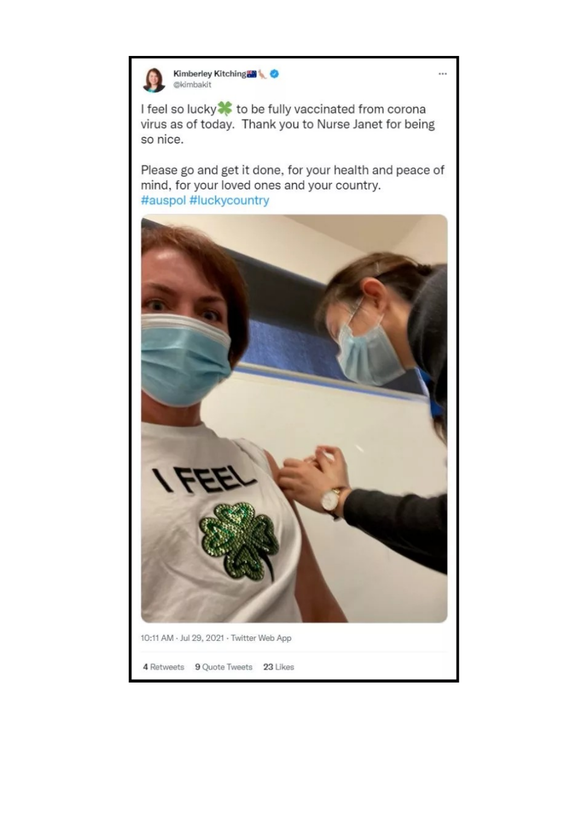

## Kimberley Kitching @kimbakit

I feel so lucky<sup>3</sup> to be fully vaccinated from corona virus as of today. Thank you to Nurse Janet for being so nice.

Please go and get it done, for your health and peace of mind, for your loved ones and your country. #auspol #luckycountry



 $\cdots$